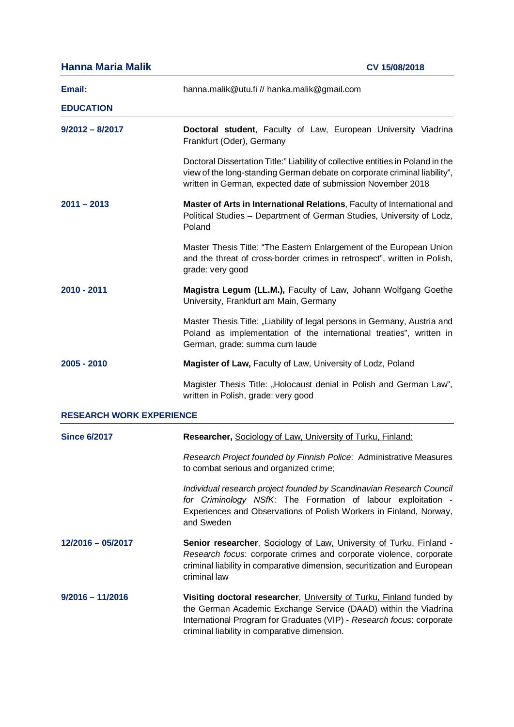| <b>Hanna Maria Malik</b>        | CV 15/08/2018                                                                                                                                                                                                                                                    |  |
|---------------------------------|------------------------------------------------------------------------------------------------------------------------------------------------------------------------------------------------------------------------------------------------------------------|--|
| Email:                          | hanna.malik@utu.fi // hanka.malik@gmail.com                                                                                                                                                                                                                      |  |
| <b>EDUCATION</b>                |                                                                                                                                                                                                                                                                  |  |
| $9/2012 - 8/2017$               | Doctoral student, Faculty of Law, European University Viadrina<br>Frankfurt (Oder), Germany                                                                                                                                                                      |  |
|                                 | Doctoral Dissertation Title:" Liability of collective entities in Poland in the<br>view of the long-standing German debate on corporate criminal liability",<br>written in German, expected date of submission November 2018                                     |  |
| 2011 – 2013                     | Master of Arts in International Relations, Faculty of International and<br>Political Studies - Department of German Studies, University of Lodz,<br>Poland                                                                                                       |  |
|                                 | Master Thesis Title: "The Eastern Enlargement of the European Union<br>and the threat of cross-border crimes in retrospect", written in Polish,<br>grade: very good                                                                                              |  |
| 2010 - 2011                     | Magistra Legum (LL.M.), Faculty of Law, Johann Wolfgang Goethe<br>University, Frankfurt am Main, Germany                                                                                                                                                         |  |
|                                 | Master Thesis Title: "Liability of legal persons in Germany, Austria and<br>Poland as implementation of the international treaties", written in<br>German, grade: summa cum laude                                                                                |  |
| 2005 - 2010                     | Magister of Law, Faculty of Law, University of Lodz, Poland                                                                                                                                                                                                      |  |
|                                 | Magister Thesis Title: "Holocaust denial in Polish and German Law",<br>written in Polish, grade: very good                                                                                                                                                       |  |
| <b>RESEARCH WORK EXPERIENCE</b> |                                                                                                                                                                                                                                                                  |  |
| <b>Since 6/2017</b>             | Researcher, Sociology of Law, University of Turku, Finland:                                                                                                                                                                                                      |  |
|                                 | Research Project founded by Finnish Police: Administrative Measures<br>to combat serious and organized crime;                                                                                                                                                    |  |
|                                 | Individual research project founded by Scandinavian Research Council<br>for Criminology NSfK: The Formation of labour exploitation -<br>Experiences and Observations of Polish Workers in Finland, Norway,<br>and Sweden                                         |  |
| 12/2016 - 05/2017               | Senior researcher, Sociology of Law, University of Turku, Finland -<br>Research focus: corporate crimes and corporate violence, corporate<br>criminal liability in comparative dimension, securitization and European<br>criminal law                            |  |
| $9/2016 - 11/2016$              | Visiting doctoral researcher, University of Turku, Finland funded by<br>the German Academic Exchange Service (DAAD) within the Viadrina<br>International Program for Graduates (VIP) - Research focus: corporate<br>criminal liability in comparative dimension. |  |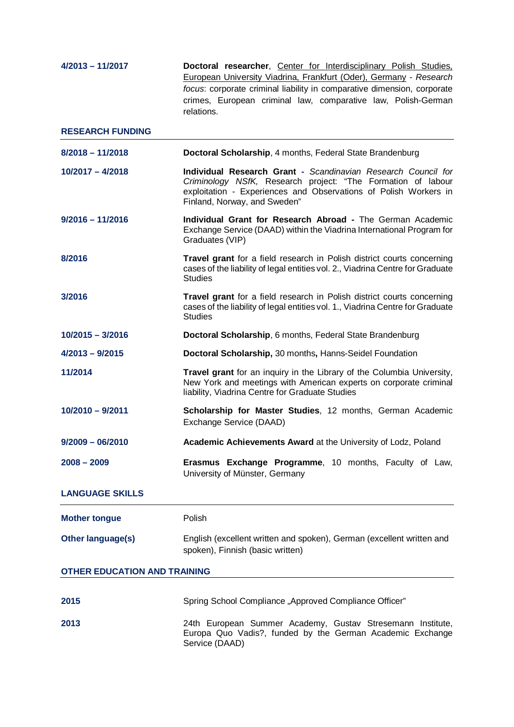| $4/2013 - 11/2017$                  | Doctoral researcher, Center for Interdisciplinary Polish Studies,<br>European University Viadrina, Frankfurt (Oder), Germany - Research<br>focus: corporate criminal liability in comparative dimension, corporate<br>crimes, European criminal law, comparative law, Polish-German<br>relations. |  |
|-------------------------------------|---------------------------------------------------------------------------------------------------------------------------------------------------------------------------------------------------------------------------------------------------------------------------------------------------|--|
| <b>RESEARCH FUNDING</b>             |                                                                                                                                                                                                                                                                                                   |  |
| $8/2018 - 11/2018$                  | Doctoral Scholarship, 4 months, Federal State Brandenburg                                                                                                                                                                                                                                         |  |
| $10/2017 - 4/2018$                  | Individual Research Grant - Scandinavian Research Council for<br>Criminology NSfK, Research project: "The Formation of labour<br>exploitation - Experiences and Observations of Polish Workers in<br>Finland, Norway, and Sweden"                                                                 |  |
| $9/2016 - 11/2016$                  | Individual Grant for Research Abroad - The German Academic<br>Exchange Service (DAAD) within the Viadrina International Program for<br>Graduates (VIP)                                                                                                                                            |  |
| 8/2016                              | Travel grant for a field research in Polish district courts concerning<br>cases of the liability of legal entities vol. 2., Viadrina Centre for Graduate<br><b>Studies</b>                                                                                                                        |  |
| 3/2016                              | Travel grant for a field research in Polish district courts concerning<br>cases of the liability of legal entities vol. 1., Viadrina Centre for Graduate<br><b>Studies</b>                                                                                                                        |  |
| $10/2015 - 3/2016$                  | Doctoral Scholarship, 6 months, Federal State Brandenburg                                                                                                                                                                                                                                         |  |
| $4/2013 - 9/2015$                   | Doctoral Scholarship, 30 months, Hanns-Seidel Foundation                                                                                                                                                                                                                                          |  |
| 11/2014                             | Travel grant for an inquiry in the Library of the Columbia University,<br>New York and meetings with American experts on corporate criminal<br>liability, Viadrina Centre for Graduate Studies                                                                                                    |  |
| $10/2010 - 9/2011$                  | Scholarship for Master Studies, 12 months, German Academic<br>Exchange Service (DAAD)                                                                                                                                                                                                             |  |
| $9/2009 - 06/2010$                  | Academic Achievements Award at the University of Lodz, Poland                                                                                                                                                                                                                                     |  |
| $2008 - 2009$                       | Erasmus Exchange Programme, 10 months, Faculty of Law,<br>University of Münster, Germany                                                                                                                                                                                                          |  |
| <b>LANGUAGE SKILLS</b>              |                                                                                                                                                                                                                                                                                                   |  |
| <b>Mother tongue</b>                | Polish                                                                                                                                                                                                                                                                                            |  |
| <b>Other language(s)</b>            | English (excellent written and spoken), German (excellent written and<br>spoken), Finnish (basic written)                                                                                                                                                                                         |  |
| <b>OTHER EDUCATION AND TRAINING</b> |                                                                                                                                                                                                                                                                                                   |  |
| 2015                                | Spring School Compliance "Approved Compliance Officer"                                                                                                                                                                                                                                            |  |
| 2013                                | 24th European Summer Academy, Gustav Stresemann Institute,<br>Europa Quo Vadis?, funded by the German Academic Exchange<br>Service (DAAD)                                                                                                                                                         |  |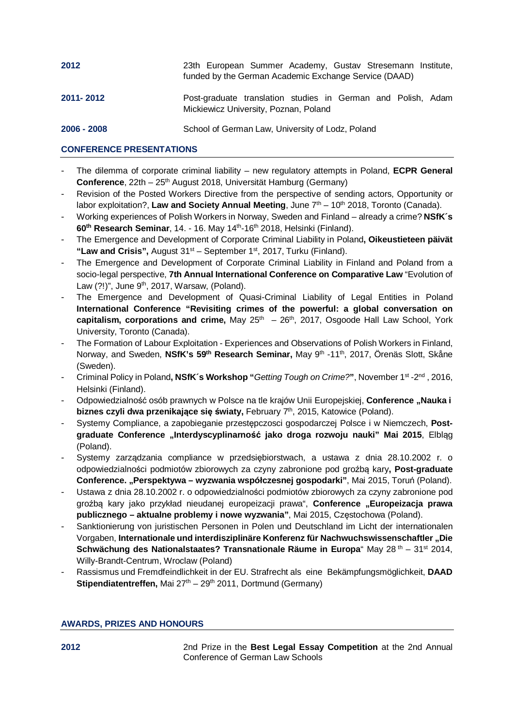| 2012          | 23th European Summer Academy, Gustav Stresemann Institute,<br>funded by the German Academic Exchange Service (DAAD) |
|---------------|---------------------------------------------------------------------------------------------------------------------|
| 2011-2012     | Post-graduate translation studies in German and Polish, Adam<br>Mickiewicz University, Poznan, Poland               |
| $2006 - 2008$ | School of German Law, University of Lodz, Poland                                                                    |

## **CONFERENCE PRESENTATIONS**

- The dilemma of corporate criminal liability new regulatory attempts in Poland, **ECPR General Conference**, 22th – 25<sup>th</sup> August 2018, Universität Hamburg (Germany)
- Revision of the Posted Workers Directive from the perspective of sending actors, Opportunity or labor exploitation?, Law and Society Annual Meeting, June 7<sup>th</sup> – 10<sup>th</sup> 2018, Toronto (Canada).
- Working experiences of Polish Workers in Norway, Sweden and Finland already a crime? **NSfK´s 60th Research Seminar**, 14. - 16. May 14th-16th 2018, Helsinki (Finland).
- The Emergence and Development of Corporate Criminal Liability in Poland**, Oikeustieteen päivät "Law and Crisis",** August 31st – September 1st, 2017, Turku (Finland).
- The Emergence and Development of Corporate Criminal Liability in Finland and Poland from a socio-legal perspective, **7th Annual International Conference on Comparative Law** "Evolution of Law  $(?)$ ", June  $9<sup>th</sup>$ , 2017, Warsaw, (Poland).
- The Emergence and Development of Quasi-Criminal Liability of Legal Entities in Poland **International Conference "Revisiting crimes of the powerful: a global conversation on** capitalism, corporations and crime, May 25<sup>th</sup> - 26<sup>th</sup>, 2017, Osgoode Hall Law School, York University, Toronto (Canada).
- The Formation of Labour Exploitation Experiences and Observations of Polish Workers in Finland, Norway, and Sweden, **NSfK's 59th Research Seminar,** May 9th -11th, 2017, Örenäs Slott, Skåne (Sweden).
- Criminal Policy in Poland**, NSfK´s Workshop "***Getting Tough on Crime?***"**, November 1st -2nd , 2016, Helsinki (Finland).
- Odpowiedzialność osób prawnych w Polsce na tle krajów Unii Europejskiej, Conference "Nauka i **biznes czyli dwa przenikające się światy,** February 7th, 2015, Katowice (Poland).
- Systemy Compliance, a zapobieganie przestępczosci gospodarczej Polsce i w Niemczech, **Postgraduate Conference "Interdyscyplinarność jako droga rozwoju nauki" Mai 2015**, Elbląg (Poland).
- Systemy zarządzania compliance w przedsiębiorstwach, a ustawa z dnia 28.10.2002 r. o odpowiedzialności podmiotów zbiorowych za czyny zabronione pod groźbą kary**, Post-graduate Conference. "Perspektywa – wyzwania współczesnej gospodarki"**, Mai 2015, Toruń (Poland).
- Ustawa z dnia 28.10.2002 r. o odpowiedzialności podmiotów zbiorowych za czyny zabronione pod groźbą kary jako przykład nieudanej europeizacji prawa", Conference "Europeizacja prawa **publicznego – aktualne problemy i nowe wyzwania"**, Mai 2015, Częstochowa (Poland).
- Sanktionierung von juristischen Personen in Polen und Deutschland im Licht der internationalen Vorgaben, **Internationale und interdisziplinäre Konferenz für Nachwuchswissenschaftler "Die Schwächung des Nationalstaates? Transnationale Räume in Europa**" May 28<sup>th</sup> – 31<sup>st</sup> 2014, Willy-Brandt-Centrum, Wroclaw (Poland)
- Rassismus und Fremdfeindlichkeit in der EU. Strafrecht als eine Bekämpfungsmöglichkeit, **DAAD Stipendiatentreffen, Mai 27<sup>th</sup> – 29<sup>th</sup> 2011, Dortmund (Germany)**

## **AWARDS, PRIZES AND HONOURS**